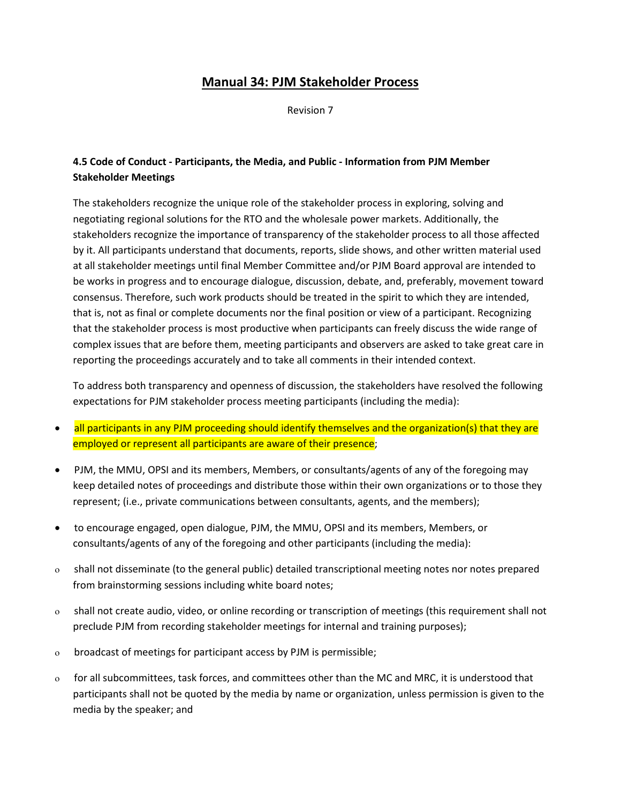## **Manual 34: PJM Stakeholder Process**

Revision 7

## **4.5 Code of Conduct - Participants, the Media, and Public - Information from PJM Member Stakeholder Meetings**

The stakeholders recognize the unique role of the stakeholder process in exploring, solving and negotiating regional solutions for the RTO and the wholesale power markets. Additionally, the stakeholders recognize the importance of transparency of the stakeholder process to all those affected by it. All participants understand that documents, reports, slide shows, and other written material used at all stakeholder meetings until final Member Committee and/or PJM Board approval are intended to be works in progress and to encourage dialogue, discussion, debate, and, preferably, movement toward consensus. Therefore, such work products should be treated in the spirit to which they are intended, that is, not as final or complete documents nor the final position or view of a participant. Recognizing that the stakeholder process is most productive when participants can freely discuss the wide range of complex issues that are before them, meeting participants and observers are asked to take great care in reporting the proceedings accurately and to take all comments in their intended context.

To address both transparency and openness of discussion, the stakeholders have resolved the following expectations for PJM stakeholder process meeting participants (including the media):

- all participants in any PJM proceeding should identify themselves and the organization(s) that they are employed or represent all participants are aware of their presence;
- PJM, the MMU, OPSI and its members, Members, or consultants/agents of any of the foregoing may keep detailed notes of proceedings and distribute those within their own organizations or to those they represent; (i.e., private communications between consultants, agents, and the members);
- to encourage engaged, open dialogue, PJM, the MMU, OPSI and its members, Members, or consultants/agents of any of the foregoing and other participants (including the media):
- ο shall not disseminate (to the general public) detailed transcriptional meeting notes nor notes prepared from brainstorming sessions including white board notes;
- ο shall not create audio, video, or online recording or transcription of meetings (this requirement shall not preclude PJM from recording stakeholder meetings for internal and training purposes);
- ο broadcast of meetings for participant access by PJM is permissible;
- ο for all subcommittees, task forces, and committees other than the MC and MRC, it is understood that participants shall not be quoted by the media by name or organization, unless permission is given to the media by the speaker; and